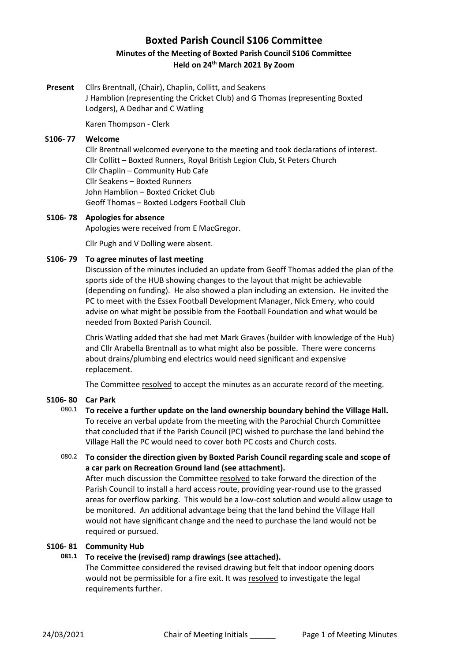# **Boxted Parish Council S106 Committee Minutes of the Meeting of Boxted Parish Council S106 Committee Held on 24th March 2021 By Zoom**

**Present** Cllrs Brentnall, (Chair), Chaplin, Collitt, and Seakens J Hamblion (representing the Cricket Club) and G Thomas (representing Boxted Lodgers), A Dedhar and C Watling

Karen Thompson - Clerk

### **S106- 77 Welcome**

Cllr Brentnall welcomed everyone to the meeting and took declarations of interest. Cllr Collitt – Boxted Runners, Royal British Legion Club, St Peters Church Cllr Chaplin – Community Hub Cafe Cllr Seakens – Boxted Runners John Hamblion – Boxted Cricket Club Geoff Thomas – Boxted Lodgers Football Club

### **S106- 78 Apologies for absence**

Apologies were received from E MacGregor.

Cllr Pugh and V Dolling were absent.

### **S106- 79 To agree minutes of last meeting**

Discussion of the minutes included an update from Geoff Thomas added the plan of the sports side of the HUB showing changes to the layout that might be achievable (depending on funding). He also showed a plan including an extension. He invited the PC to meet with the Essex Football Development Manager, Nick Emery, who could advise on what might be possible from the Football Foundation and what would be needed from Boxted Parish Council.

Chris Watling added that she had met Mark Graves (builder with knowledge of the Hub) and Cllr Arabella Brentnall as to what might also be possible. There were concerns about drains/plumbing end electrics would need significant and expensive replacement.

The Committee resolved to accept the minutes as an accurate record of the meeting.

### **S106- 80 Car Park**

# 080.1 **To receive a further update on the land ownership boundary behind the Village Hall.**  To receive an verbal update from the meeting with the Parochial Church Committee that concluded that if the Parish Council (PC) wished to purchase the land behind the Village Hall the PC would need to cover both PC costs and Church costs.

080.2 **To consider the direction given by Boxted Parish Council regarding scale and scope of a car park on Recreation Ground land (see attachment).**

After much discussion the Committee resolved to take forward the direction of the Parish Council to install a hard access route, providing year-round use to the grassed areas for overflow parking. This would be a low-cost solution and would allow usage to be monitored. An additional advantage being that the land behind the Village Hall would not have significant change and the need to purchase the land would not be required or pursued.

## **S106- 81 Community Hub**

# **081.1 To receive the (revised) ramp drawings (see attached).**

The Committee considered the revised drawing but felt that indoor opening doors would not be permissible for a fire exit. It was resolved to investigate the legal requirements further.